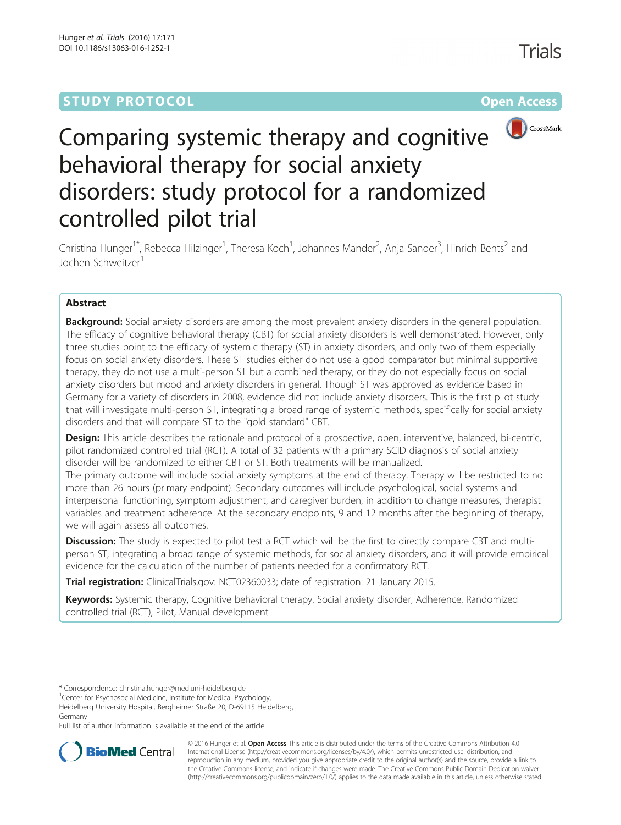# **STUDY PROTOCOL CONSUMING THE RESERVE ACCESS**



# Comparing systemic therapy and cognitive behavioral therapy for social anxiety disorders: study protocol for a randomized controlled pilot trial

Christina Hunger<sup>1\*</sup>, Rebecca Hilzinger<sup>1</sup>, Theresa Koch<sup>1</sup>, Johannes Mander<sup>2</sup>, Anja Sander<sup>3</sup>, Hinrich Bents<sup>2</sup> and Jochen Schweitzer<sup>1</sup>

# Abstract

**Background:** Social anxiety disorders are among the most prevalent anxiety disorders in the general population. The efficacy of cognitive behavioral therapy (CBT) for social anxiety disorders is well demonstrated. However, only three studies point to the efficacy of systemic therapy (ST) in anxiety disorders, and only two of them especially focus on social anxiety disorders. These ST studies either do not use a good comparator but minimal supportive therapy, they do not use a multi-person ST but a combined therapy, or they do not especially focus on social anxiety disorders but mood and anxiety disorders in general. Though ST was approved as evidence based in Germany for a variety of disorders in 2008, evidence did not include anxiety disorders. This is the first pilot study that will investigate multi-person ST, integrating a broad range of systemic methods, specifically for social anxiety disorders and that will compare ST to the "gold standard" CBT.

Design: This article describes the rationale and protocol of a prospective, open, interventive, balanced, bi-centric, pilot randomized controlled trial (RCT). A total of 32 patients with a primary SCID diagnosis of social anxiety disorder will be randomized to either CBT or ST. Both treatments will be manualized.

The primary outcome will include social anxiety symptoms at the end of therapy. Therapy will be restricted to no more than 26 hours (primary endpoint). Secondary outcomes will include psychological, social systems and interpersonal functioning, symptom adjustment, and caregiver burden, in addition to change measures, therapist variables and treatment adherence. At the secondary endpoints, 9 and 12 months after the beginning of therapy, we will again assess all outcomes.

**Discussion:** The study is expected to pilot test a RCT which will be the first to directly compare CBT and multiperson ST, integrating a broad range of systemic methods, for social anxiety disorders, and it will provide empirical evidence for the calculation of the number of patients needed for a confirmatory RCT.

Trial registration: ClinicalTrials.gov: [NCT02360033;](https://clinicaltrials.gov/ct2/show/NCT02360033) date of registration: 21 January 2015.

Keywords: Systemic therapy, Cognitive behavioral therapy, Social anxiety disorder, Adherence, Randomized controlled trial (RCT), Pilot, Manual development

Full list of author information is available at the end of the article



© 2016 Hunger et al. Open Access This article is distributed under the terms of the Creative Commons Attribution 4.0 International License [\(http://creativecommons.org/licenses/by/4.0/](http://creativecommons.org/licenses/by/4.0/)), which permits unrestricted use, distribution, and reproduction in any medium, provided you give appropriate credit to the original author(s) and the source, provide a link to the Creative Commons license, and indicate if changes were made. The Creative Commons Public Domain Dedication waiver [\(http://creativecommons.org/publicdomain/zero/1.0/](http://creativecommons.org/publicdomain/zero/1.0/)) applies to the data made available in this article, unless otherwise stated.

<sup>\*</sup> Correspondence: [christina.hunger@med.uni-heidelberg.de](mailto:christina.hunger@med.uni-heidelberg.de) <sup>1</sup>

<sup>&</sup>lt;sup>1</sup> Center for Psychosocial Medicine, Institute for Medical Psychology,

Heidelberg University Hospital, Bergheimer Straße 20, D-69115 Heidelberg, Germany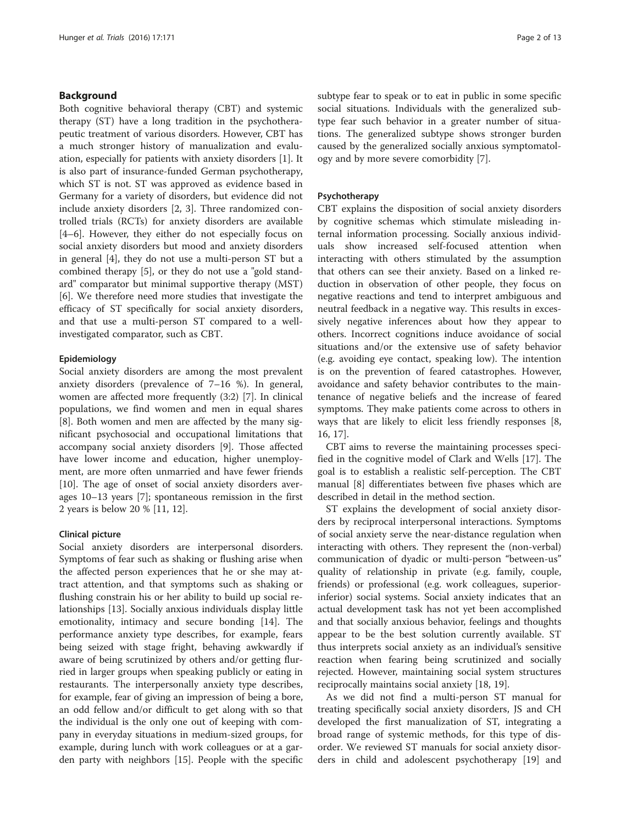## Background

Both cognitive behavioral therapy (CBT) and systemic therapy (ST) have a long tradition in the psychotherapeutic treatment of various disorders. However, CBT has a much stronger history of manualization and evaluation, especially for patients with anxiety disorders [[1\]](#page-10-0). It is also part of insurance-funded German psychotherapy, which ST is not. ST was approved as evidence based in Germany for a variety of disorders, but evidence did not include anxiety disorders [\[2](#page-10-0), [3\]](#page-10-0). Three randomized controlled trials (RCTs) for anxiety disorders are available [[4](#page-10-0)–[6\]](#page-11-0). However, they either do not especially focus on social anxiety disorders but mood and anxiety disorders in general [[4\]](#page-10-0), they do not use a multi-person ST but a combined therapy [[5\]](#page-10-0), or they do not use a "gold standard" comparator but minimal supportive therapy (MST) [[6\]](#page-11-0). We therefore need more studies that investigate the efficacy of ST specifically for social anxiety disorders, and that use a multi-person ST compared to a wellinvestigated comparator, such as CBT.

## Epidemiology

Social anxiety disorders are among the most prevalent anxiety disorders (prevalence of 7–16 %). In general, women are affected more frequently (3:2) [[7\]](#page-11-0). In clinical populations, we find women and men in equal shares [[8\]](#page-11-0). Both women and men are affected by the many significant psychosocial and occupational limitations that accompany social anxiety disorders [[9\]](#page-11-0). Those affected have lower income and education, higher unemployment, are more often unmarried and have fewer friends [[10\]](#page-11-0). The age of onset of social anxiety disorders averages 10–13 years [\[7](#page-11-0)]; spontaneous remission in the first 2 years is below 20 % [\[11, 12\]](#page-11-0).

## Clinical picture

Social anxiety disorders are interpersonal disorders. Symptoms of fear such as shaking or flushing arise when the affected person experiences that he or she may attract attention, and that symptoms such as shaking or flushing constrain his or her ability to build up social relationships [[13\]](#page-11-0). Socially anxious individuals display little emotionality, intimacy and secure bonding [\[14\]](#page-11-0). The performance anxiety type describes, for example, fears being seized with stage fright, behaving awkwardly if aware of being scrutinized by others and/or getting flurried in larger groups when speaking publicly or eating in restaurants. The interpersonally anxiety type describes, for example, fear of giving an impression of being a bore, an odd fellow and/or difficult to get along with so that the individual is the only one out of keeping with company in everyday situations in medium-sized groups, for example, during lunch with work colleagues or at a garden party with neighbors [\[15](#page-11-0)]. People with the specific

subtype fear to speak or to eat in public in some specific social situations. Individuals with the generalized subtype fear such behavior in a greater number of situations. The generalized subtype shows stronger burden caused by the generalized socially anxious symptomatology and by more severe comorbidity [[7](#page-11-0)].

#### Psychotherapy

CBT explains the disposition of social anxiety disorders by cognitive schemas which stimulate misleading internal information processing. Socially anxious individuals show increased self-focused attention when interacting with others stimulated by the assumption that others can see their anxiety. Based on a linked reduction in observation of other people, they focus on negative reactions and tend to interpret ambiguous and neutral feedback in a negative way. This results in excessively negative inferences about how they appear to others. Incorrect cognitions induce avoidance of social situations and/or the extensive use of safety behavior (e.g. avoiding eye contact, speaking low). The intention is on the prevention of feared catastrophes. However, avoidance and safety behavior contributes to the maintenance of negative beliefs and the increase of feared symptoms. They make patients come across to others in ways that are likely to elicit less friendly responses [\[8](#page-11-0), [16, 17](#page-11-0)].

CBT aims to reverse the maintaining processes specified in the cognitive model of Clark and Wells [[17\]](#page-11-0). The goal is to establish a realistic self-perception. The CBT manual [\[8\]](#page-11-0) differentiates between five phases which are described in detail in the method section.

ST explains the development of social anxiety disorders by reciprocal interpersonal interactions. Symptoms of social anxiety serve the near-distance regulation when interacting with others. They represent the (non-verbal) communication of dyadic or multi-person "between-us" quality of relationship in private (e.g. family, couple, friends) or professional (e.g. work colleagues, superiorinferior) social systems. Social anxiety indicates that an actual development task has not yet been accomplished and that socially anxious behavior, feelings and thoughts appear to be the best solution currently available. ST thus interprets social anxiety as an individual's sensitive reaction when fearing being scrutinized and socially rejected. However, maintaining social system structures reciprocally maintains social anxiety [[18, 19\]](#page-11-0).

As we did not find a multi-person ST manual for treating specifically social anxiety disorders, JS and CH developed the first manualization of ST, integrating a broad range of systemic methods, for this type of disorder. We reviewed ST manuals for social anxiety disorders in child and adolescent psychotherapy [[19\]](#page-11-0) and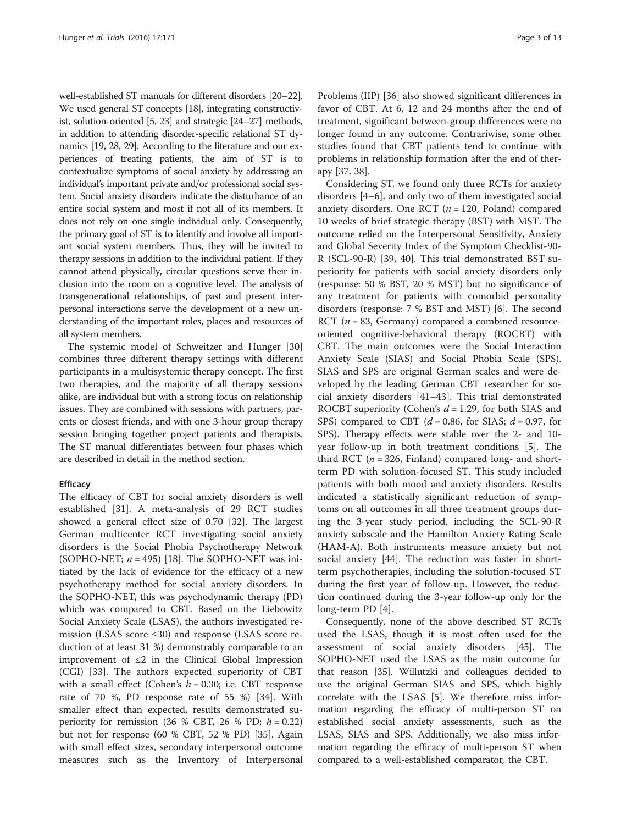well-established ST manuals for different disorders [\[20](#page-11-0)–[22](#page-11-0)]. We used general ST concepts [[18](#page-11-0)], integrating constructivist, solution-oriented [[5](#page-10-0), [23\]](#page-11-0) and strategic [\[24](#page-11-0)–[27\]](#page-11-0) methods, in addition to attending disorder-specific relational ST dynamics [\[19, 28, 29](#page-11-0)]. According to the literature and our experiences of treating patients, the aim of ST is to contextualize symptoms of social anxiety by addressing an individual's important private and/or professional social system. Social anxiety disorders indicate the disturbance of an entire social system and most if not all of its members. It does not rely on one single individual only. Consequently, the primary goal of ST is to identify and involve all important social system members. Thus, they will be invited to therapy sessions in addition to the individual patient. If they cannot attend physically, circular questions serve their inclusion into the room on a cognitive level. The analysis of transgenerational relationships, of past and present interpersonal interactions serve the development of a new understanding of the important roles, places and resources of all system members.

The systemic model of Schweitzer and Hunger [[30](#page-11-0)] combines three different therapy settings with different participants in a multisystemic therapy concept. The first two therapies, and the majority of all therapy sessions alike, are individual but with a strong focus on relationship issues. They are combined with sessions with partners, parents or closest friends, and with one 3-hour group therapy session bringing together project patients and therapists. The ST manual differentiates between four phases which are described in detail in the method section.

## **Efficacy**

The efficacy of CBT for social anxiety disorders is well established [[31\]](#page-11-0). A meta-analysis of 29 RCT studies showed a general effect size of 0.70 [\[32](#page-11-0)]. The largest German multicenter RCT investigating social anxiety disorders is the Social Phobia Psychotherapy Network (SOPHO-NET;  $n = 495$ ) [[18\]](#page-11-0). The SOPHO-NET was initiated by the lack of evidence for the efficacy of a new psychotherapy method for social anxiety disorders. In the SOPHO-NET, this was psychodynamic therapy (PD) which was compared to CBT. Based on the Liebowitz Social Anxiety Scale (LSAS), the authors investigated remission (LSAS score  $\leq$ 30) and response (LSAS score reduction of at least 31 %) demonstrably comparable to an improvement of  $\leq 2$  in the Clinical Global Impression (CGI) [[33\]](#page-11-0). The authors expected superiority of CBT with a small effect (Cohen's  $h = 0.30$ ; i.e. CBT response rate of 70 %, PD response rate of 55 %) [[34\]](#page-11-0). With smaller effect than expected, results demonstrated superiority for remission (36 % CBT, 26 % PD;  $h = 0.22$ ) but not for response (60 % CBT, 52 % PD) [\[35](#page-11-0)]. Again with small effect sizes, secondary interpersonal outcome measures such as the Inventory of Interpersonal

Problems (IIP) [[36](#page-11-0)] also showed significant differences in favor of CBT. At 6, 12 and 24 months after the end of treatment, significant between-group differences were no longer found in any outcome. Contrariwise, some other studies found that CBT patients tend to continue with problems in relationship formation after the end of therapy [[37, 38\]](#page-11-0).

Considering ST, we found only three RCTs for anxiety disorders [\[4](#page-10-0)–[6](#page-11-0)], and only two of them investigated social anxiety disorders. One RCT  $(n = 120,$  Poland) compared 10 weeks of brief strategic therapy (BST) with MST. The outcome relied on the Interpersonal Sensitivity, Anxiety and Global Severity Index of the Symptom Checklist-90- R (SCL-90-R) [\[39](#page-11-0), [40\]](#page-11-0). This trial demonstrated BST superiority for patients with social anxiety disorders only (response: 50 % BST, 20 % MST) but no significance of any treatment for patients with comorbid personality disorders (response: 7 % BST and MST) [\[6\]](#page-11-0). The second RCT ( $n = 83$ , Germany) compared a combined resourceoriented cognitive-behavioral therapy (ROCBT) with CBT. The main outcomes were the Social Interaction Anxiety Scale (SIAS) and Social Phobia Scale (SPS). SIAS and SPS are original German scales and were developed by the leading German CBT researcher for social anxiety disorders [[41](#page-11-0)–[43](#page-11-0)]. This trial demonstrated ROCBT superiority (Cohen's  $d = 1.29$ , for both SIAS and SPS) compared to CBT ( $d = 0.86$ , for SIAS;  $d = 0.97$ , for SPS). Therapy effects were stable over the 2- and 10 year follow-up in both treatment conditions [[5\]](#page-10-0). The third RCT ( $n = 326$ , Finland) compared long- and shortterm PD with solution-focused ST. This study included patients with both mood and anxiety disorders. Results indicated a statistically significant reduction of symptoms on all outcomes in all three treatment groups during the 3-year study period, including the SCL-90-R anxiety subscale and the Hamilton Anxiety Rating Scale (HAM-A). Both instruments measure anxiety but not social anxiety [\[44](#page-11-0)]. The reduction was faster in shortterm psychotherapies, including the solution-focused ST during the first year of follow-up. However, the reduction continued during the 3-year follow-up only for the long-term PD [\[4](#page-10-0)].

Consequently, none of the above described ST RCTs used the LSAS, though it is most often used for the assessment of social anxiety disorders [[45](#page-11-0)]. The SOPHO-NET used the LSAS as the main outcome for that reason [\[35\]](#page-11-0). Willutzki and colleagues decided to use the original German SIAS and SPS, which highly correlate with the LSAS [[5](#page-10-0)]. We therefore miss information regarding the efficacy of multi-person ST on established social anxiety assessments, such as the LSAS, SIAS and SPS. Additionally, we also miss information regarding the efficacy of multi-person ST when compared to a well-established comparator, the CBT.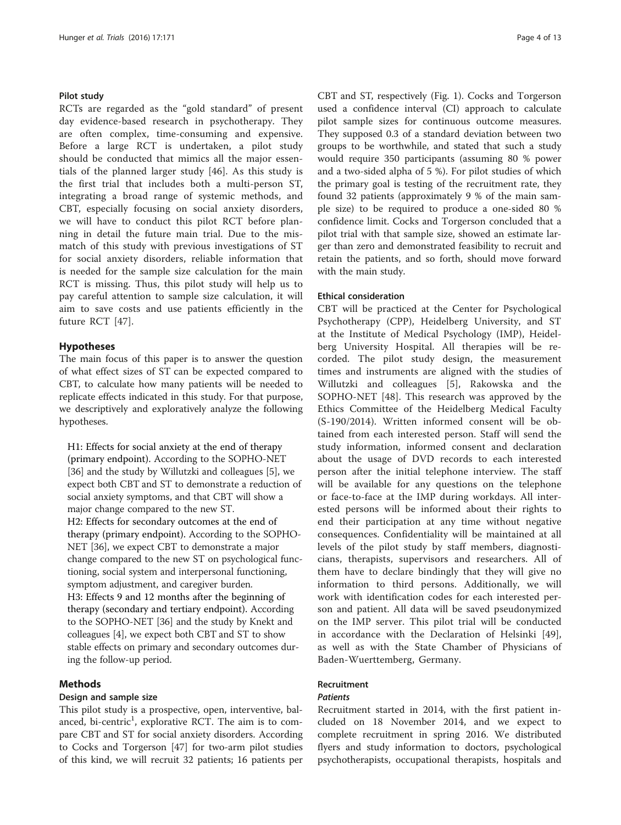## Pilot study

RCTs are regarded as the "gold standard" of present day evidence-based research in psychotherapy. They are often complex, time-consuming and expensive. Before a large RCT is undertaken, a pilot study should be conducted that mimics all the major essentials of the planned larger study [\[46](#page-11-0)]. As this study is the first trial that includes both a multi-person ST, integrating a broad range of systemic methods, and CBT, especially focusing on social anxiety disorders, we will have to conduct this pilot RCT before planning in detail the future main trial. Due to the mismatch of this study with previous investigations of ST for social anxiety disorders, reliable information that is needed for the sample size calculation for the main RCT is missing. Thus, this pilot study will help us to pay careful attention to sample size calculation, it will aim to save costs and use patients efficiently in the future RCT [[47\]](#page-11-0).

## Hypotheses

The main focus of this paper is to answer the question of what effect sizes of ST can be expected compared to CBT, to calculate how many patients will be needed to replicate effects indicated in this study. For that purpose, we descriptively and exploratively analyze the following hypotheses.

H1: Effects for social anxiety at the end of therapy (primary endpoint). According to the SOPHO-NET [36] and the study by Willutzki and colleagues [5], we expect both CBT and ST to demonstrate a reduction of social anxiety symptoms, and that CBT will show a major change compared to the new ST. H2: Effects for secondary outcomes at the end of therapy (primary endpoint). According to the SOPHO-NET [36], we expect CBT to demonstrate a major change compared to the new ST on psychological functioning, social system and interpersonal functioning, symptom adjustment, and caregiver burden. H3: Effects 9 and 12 months after the beginning of therapy (secondary and tertiary endpoint). According to the SOPHO-NET [36] and the study by Knekt and colleagues [4], we expect both CBT and ST to show stable effects on primary and secondary outcomes during the follow-up period.

## Methods

## Design and sample size

This pilot study is a prospective, open, interventive, balanced, bi-centric<sup>1</sup>, explorative RCT. The aim is to compare CBT and ST for social anxiety disorders. According to Cocks and Torgerson [\[47](#page-11-0)] for two-arm pilot studies of this kind, we will recruit 32 patients; 16 patients per CBT and ST, respectively (Fig. [1\)](#page-4-0). Cocks and Torgerson used a confidence interval (CI) approach to calculate pilot sample sizes for continuous outcome measures. They supposed 0.3 of a standard deviation between two groups to be worthwhile, and stated that such a study would require 350 participants (assuming 80 % power and a two-sided alpha of 5 %). For pilot studies of which the primary goal is testing of the recruitment rate, they found 32 patients (approximately 9 % of the main sample size) to be required to produce a one-sided 80 % confidence limit. Cocks and Torgerson concluded that a pilot trial with that sample size, showed an estimate larger than zero and demonstrated feasibility to recruit and retain the patients, and so forth, should move forward with the main study.

#### Ethical consideration

CBT will be practiced at the Center for Psychological Psychotherapy (CPP), Heidelberg University, and ST at the Institute of Medical Psychology (IMP), Heidelberg University Hospital. All therapies will be recorded. The pilot study design, the measurement times and instruments are aligned with the studies of Willutzki and colleagues [\[5](#page-10-0)], Rakowska and the SOPHO-NET [\[48](#page-11-0)]. This research was approved by the Ethics Committee of the Heidelberg Medical Faculty (S-190/2014). Written informed consent will be obtained from each interested person. Staff will send the study information, informed consent and declaration about the usage of DVD records to each interested person after the initial telephone interview. The staff will be available for any questions on the telephone or face-to-face at the IMP during workdays. All interested persons will be informed about their rights to end their participation at any time without negative consequences. Confidentiality will be maintained at all levels of the pilot study by staff members, diagnosticians, therapists, supervisors and researchers. All of them have to declare bindingly that they will give no information to third persons. Additionally, we will work with identification codes for each interested person and patient. All data will be saved pseudonymized on the IMP server. This pilot trial will be conducted in accordance with the Declaration of Helsinki [\[49](#page-11-0)], as well as with the State Chamber of Physicians of Baden-Wuerttemberg, Germany.

## Recruitment

#### **Patients**

Recruitment started in 2014, with the first patient included on 18 November 2014, and we expect to complete recruitment in spring 2016. We distributed flyers and study information to doctors, psychological psychotherapists, occupational therapists, hospitals and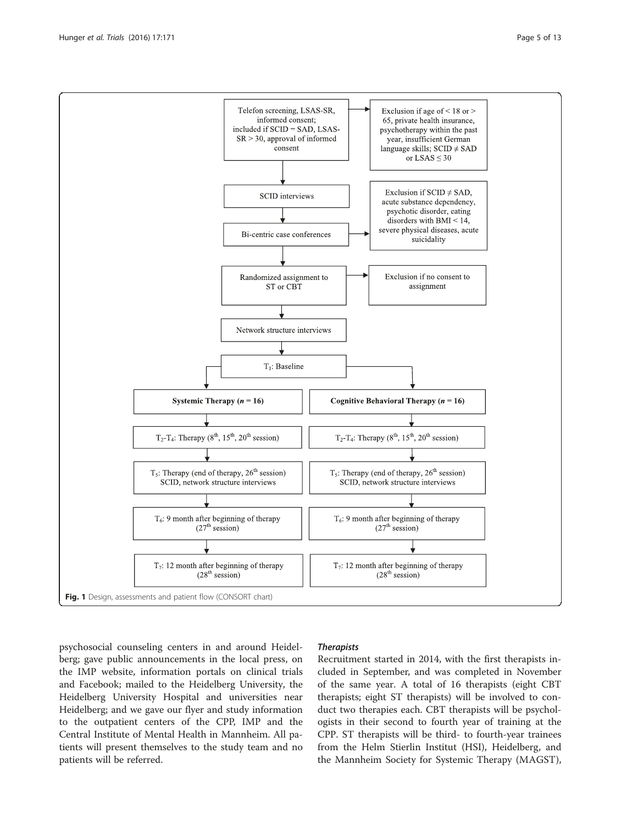psychosocial counseling centers in and around Heidelberg; gave public announcements in the local press, on the IMP website, information portals on clinical trials and Facebook; mailed to the Heidelberg University, the Heidelberg University Hospital and universities near Heidelberg; and we gave our flyer and study information to the outpatient centers of the CPP, IMP and the Central Institute of Mental Health in Mannheim. All patients will present themselves to the study team and no patients will be referred.

## **Therapists**

Recruitment started in 2014, with the first therapists included in September, and was completed in November of the same year. A total of 16 therapists (eight CBT therapists; eight ST therapists) will be involved to conduct two therapies each. CBT therapists will be psychologists in their second to fourth year of training at the CPP. ST therapists will be third- to fourth-year trainees from the Helm Stierlin Institut (HSI), Heidelberg, and the Mannheim Society for Systemic Therapy (MAGST),

<span id="page-4-0"></span>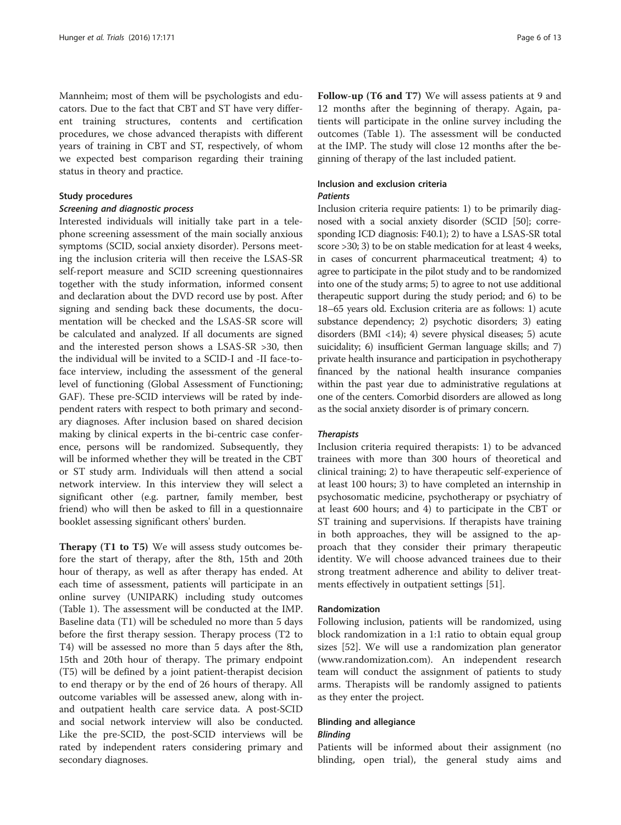Mannheim; most of them will be psychologists and educators. Due to the fact that CBT and ST have very different training structures, contents and certification procedures, we chose advanced therapists with different years of training in CBT and ST, respectively, of whom we expected best comparison regarding their training status in theory and practice.

#### Study procedures

## Screening and diagnostic process

Interested individuals will initially take part in a telephone screening assessment of the main socially anxious symptoms (SCID, social anxiety disorder). Persons meeting the inclusion criteria will then receive the LSAS-SR self-report measure and SCID screening questionnaires together with the study information, informed consent and declaration about the DVD record use by post. After signing and sending back these documents, the documentation will be checked and the LSAS-SR score will be calculated and analyzed. If all documents are signed and the interested person shows a LSAS-SR >30, then the individual will be invited to a SCID-I and -II face-toface interview, including the assessment of the general level of functioning (Global Assessment of Functioning; GAF). These pre-SCID interviews will be rated by independent raters with respect to both primary and secondary diagnoses. After inclusion based on shared decision making by clinical experts in the bi-centric case conference, persons will be randomized. Subsequently, they will be informed whether they will be treated in the CBT or ST study arm. Individuals will then attend a social network interview. In this interview they will select a significant other (e.g. partner, family member, best friend) who will then be asked to fill in a questionnaire booklet assessing significant others' burden.

Therapy (T1 to T5) We will assess study outcomes before the start of therapy, after the 8th, 15th and 20th hour of therapy, as well as after therapy has ended. At each time of assessment, patients will participate in an online survey (UNIPARK) including study outcomes (Table [1](#page-6-0)). The assessment will be conducted at the IMP. Baseline data (T1) will be scheduled no more than 5 days before the first therapy session. Therapy process (T2 to T4) will be assessed no more than 5 days after the 8th, 15th and 20th hour of therapy. The primary endpoint (T5) will be defined by a joint patient-therapist decision to end therapy or by the end of 26 hours of therapy. All outcome variables will be assessed anew, along with inand outpatient health care service data. A post-SCID and social network interview will also be conducted. Like the pre-SCID, the post-SCID interviews will be rated by independent raters considering primary and secondary diagnoses.

Follow-up (T6 and T7) We will assess patients at 9 and 12 months after the beginning of therapy. Again, patients will participate in the online survey including the outcomes (Table [1](#page-6-0)). The assessment will be conducted at the IMP. The study will close 12 months after the beginning of therapy of the last included patient.

## Inclusion and exclusion criteria **Patients**

Inclusion criteria require patients: 1) to be primarily diagnosed with a social anxiety disorder (SCID [[50](#page-11-0)]; corresponding ICD diagnosis: F40.1); 2) to have a LSAS-SR total score >30; 3) to be on stable medication for at least 4 weeks, in cases of concurrent pharmaceutical treatment; 4) to agree to participate in the pilot study and to be randomized into one of the study arms; 5) to agree to not use additional therapeutic support during the study period; and 6) to be 18–65 years old. Exclusion criteria are as follows: 1) acute substance dependency; 2) psychotic disorders; 3) eating disorders (BMI <14); 4) severe physical diseases; 5) acute suicidality; 6) insufficient German language skills; and 7) private health insurance and participation in psychotherapy financed by the national health insurance companies within the past year due to administrative regulations at one of the centers. Comorbid disorders are allowed as long as the social anxiety disorder is of primary concern.

## **Therapists**

Inclusion criteria required therapists: 1) to be advanced trainees with more than 300 hours of theoretical and clinical training; 2) to have therapeutic self-experience of at least 100 hours; 3) to have completed an internship in psychosomatic medicine, psychotherapy or psychiatry of at least 600 hours; and 4) to participate in the CBT or ST training and supervisions. If therapists have training in both approaches, they will be assigned to the approach that they consider their primary therapeutic identity. We will choose advanced trainees due to their strong treatment adherence and ability to deliver treatments effectively in outpatient settings [\[51](#page-11-0)].

#### Randomization

Following inclusion, patients will be randomized, using block randomization in a 1:1 ratio to obtain equal group sizes [[52\]](#page-11-0). We will use a randomization plan generator ([www.randomization.com](http://www.randomization.com/)). An independent research team will conduct the assignment of patients to study arms. Therapists will be randomly assigned to patients as they enter the project.

## Blinding and allegiance

## **Blinding**

Patients will be informed about their assignment (no blinding, open trial), the general study aims and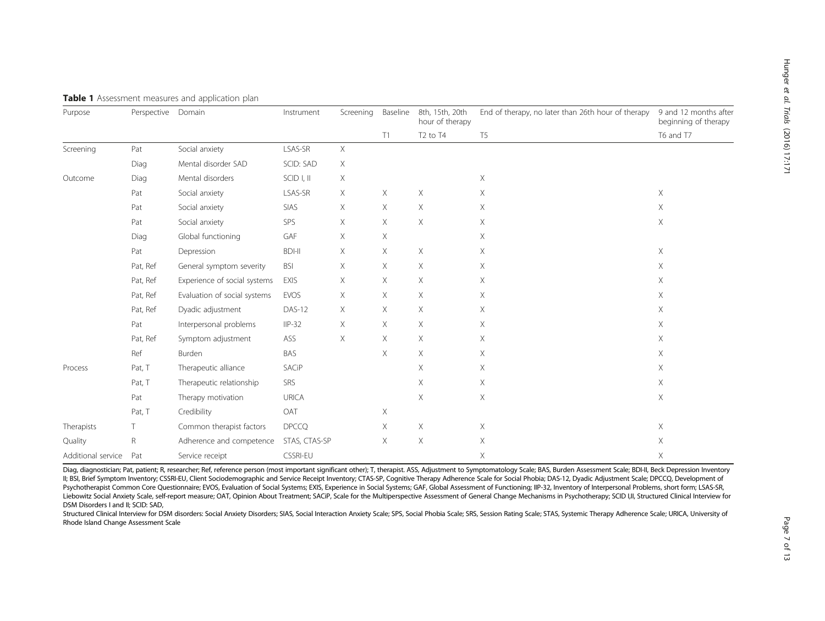| Purpose            | Perspective  | Domain                       | Instrument      | Screening | Baseline | 8th, 15th, 20th<br>hour of therapy | End of therapy, no later than 26th hour of therapy | 9 and 12 months after<br>beginning of therapy |
|--------------------|--------------|------------------------------|-----------------|-----------|----------|------------------------------------|----------------------------------------------------|-----------------------------------------------|
|                    |              |                              |                 |           | T1       | T <sub>2</sub> to T <sub>4</sub>   | T <sub>5</sub>                                     | T6 and T7                                     |
| Screening          | Pat          | Social anxiety               | LSAS-SR         | X         |          |                                    |                                                    |                                               |
|                    | Diag         | Mental disorder SAD          | SCID: SAD       | Χ         |          |                                    |                                                    |                                               |
| Outcome            | Diag         | Mental disorders             | SCID I, II      | $\times$  |          |                                    | X.                                                 |                                               |
|                    | Pat          | Social anxiety               | LSAS-SR         | Χ         | Χ        | X                                  | Χ                                                  | X                                             |
|                    | Pat          | Social anxiety               | SIAS            | $\times$  | X        | Χ                                  | X                                                  | X.                                            |
|                    | Pat          | Social anxiety               | SPS             | X         | X        | Χ                                  | X                                                  | Χ                                             |
|                    | Diag         | Global functioning           | GAF             | X         | Χ        |                                    | X                                                  |                                               |
|                    | Pat          | Depression                   | <b>BDI-II</b>   | X         | X        | Χ                                  | X.                                                 | X                                             |
|                    | Pat, Ref     | General symptom severity     | <b>BSI</b>      | $\times$  | X        | X.                                 | X.                                                 | X                                             |
|                    | Pat, Ref     | Experience of social systems | <b>EXIS</b>     | $\times$  | X        | X.                                 | X.                                                 | Χ                                             |
|                    | Pat, Ref     | Evaluation of social systems | <b>EVOS</b>     | $\times$  | X.       | X                                  | X                                                  | X                                             |
|                    | Pat, Ref     | Dyadic adjustment            | DAS-12          | Χ         | X.       | X.                                 | Χ                                                  | Χ                                             |
|                    | Pat          | Interpersonal problems       | $IIP-32$        | X         | X.       | X                                  | X                                                  | X                                             |
|                    | Pat, Ref     | Symptom adjustment           | ASS             | X         | X        | Χ                                  | X                                                  | Χ                                             |
|                    | Ref          | Burden                       | BAS             |           | X        | X                                  | X                                                  | X                                             |
| Process            | Pat, T       | Therapeutic alliance         | SACiP           |           |          | X                                  | X                                                  | Χ                                             |
|                    | Pat, T       | Therapeutic relationship     | SRS             |           |          | X                                  | X.                                                 | X                                             |
|                    | Pat          | Therapy motivation           | <b>URICA</b>    |           |          | X                                  | X                                                  | Χ                                             |
|                    | Pat, T       | Credibility                  | OAT             |           | Χ        |                                    |                                                    |                                               |
| Therapists         | T.           | Common therapist factors     | <b>DPCCQ</b>    |           | Χ        | Χ                                  | X.                                                 | Χ                                             |
| Quality            | $\mathsf{R}$ | Adherence and competence     | STAS, CTAS-SP   |           | X        | X                                  | X                                                  | Χ                                             |
| Additional service | Pat          | Service receipt              | <b>CSSRI-EU</b> |           |          |                                    | X                                                  | X                                             |

#### <span id="page-6-0"></span>Table 1 Assessment measures and application plan

Diag, diagnostician; Pat, patient; R, researcher; Ref, reference person (most important significant other); T, therapist. ASS, Adjustment to Symptomatology Scale; BAS, Burden Assessment Scale; BDI-II, Beck Depression Inven II; BSI, Brief Symptom Inventory; CSSRI-EU, Client Sociodemographic and Service Receipt Inventory; CTAS-SP, Cognitive Therapy Adherence Scale for Social Phobia; DAS-12, Dyadic Adjustment Scale; DPCCQ, Development of Psychotherapist Common Core Questionnaire; EVOS, Evaluation of Social Systems; EXIS, Experience in Social Systems; GAF, Global Assessment of Functioning; IIP-32, Inventory of Interpersonal Problems, short form; LSAS-SR, Liebowitz Social Anxiety Scale, self-report measure; OAT, Opinion About Treatment; SACiP, Scale for the Multiperspective Assessment of General Change Mechanisms in Psychotherapy; SCID I,II, Structured Clinical Interview for DSM Disorders I and II; SCID: SAD,

Structured Clinical Interview for DSM disorders: Social Anxiety Disorders; SIAS, Social Interaction Anxiety Scale; SPS, Social Phobia Scale; SRS, Session Rating Scale; STAS, Systemic Therapy Adherence Scale; URICA, Univers Rhode Island Change Assessment Scale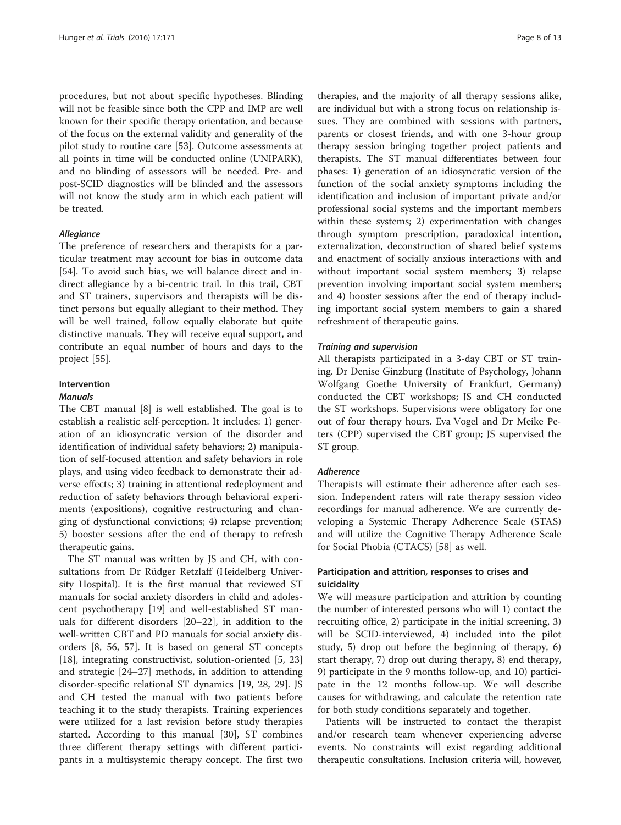procedures, but not about specific hypotheses. Blinding will not be feasible since both the CPP and IMP are well known for their specific therapy orientation, and because of the focus on the external validity and generality of the pilot study to routine care [\[53\]](#page-11-0). Outcome assessments at all points in time will be conducted online (UNIPARK), and no blinding of assessors will be needed. Pre- and post-SCID diagnostics will be blinded and the assessors will not know the study arm in which each patient will be treated.

#### Allegiance

The preference of researchers and therapists for a particular treatment may account for bias in outcome data [[54\]](#page-11-0). To avoid such bias, we will balance direct and indirect allegiance by a bi-centric trail. In this trail, CBT and ST trainers, supervisors and therapists will be distinct persons but equally allegiant to their method. They will be well trained, follow equally elaborate but quite distinctive manuals. They will receive equal support, and contribute an equal number of hours and days to the project [\[55](#page-11-0)].

#### Intervention

#### Manuals

The CBT manual [\[8](#page-11-0)] is well established. The goal is to establish a realistic self-perception. It includes: 1) generation of an idiosyncratic version of the disorder and identification of individual safety behaviors; 2) manipulation of self-focused attention and safety behaviors in role plays, and using video feedback to demonstrate their adverse effects; 3) training in attentional redeployment and reduction of safety behaviors through behavioral experiments (expositions), cognitive restructuring and changing of dysfunctional convictions; 4) relapse prevention; 5) booster sessions after the end of therapy to refresh therapeutic gains.

The ST manual was written by JS and CH, with consultations from Dr Rüdger Retzlaff (Heidelberg University Hospital). It is the first manual that reviewed ST manuals for social anxiety disorders in child and adolescent psychotherapy [[19](#page-11-0)] and well-established ST manuals for different disorders [\[20](#page-11-0)–[22\]](#page-11-0), in addition to the well-written CBT and PD manuals for social anxiety disorders [[8](#page-11-0), [56](#page-11-0), [57](#page-11-0)]. It is based on general ST concepts [[18\]](#page-11-0), integrating constructivist, solution-oriented [\[5](#page-10-0), [23](#page-11-0)] and strategic [[24](#page-11-0)–[27](#page-11-0)] methods, in addition to attending disorder-specific relational ST dynamics [\[19](#page-11-0), [28](#page-11-0), [29](#page-11-0)]. JS and CH tested the manual with two patients before teaching it to the study therapists. Training experiences were utilized for a last revision before study therapies started. According to this manual [\[30](#page-11-0)], ST combines three different therapy settings with different participants in a multisystemic therapy concept. The first two

therapies, and the majority of all therapy sessions alike, are individual but with a strong focus on relationship issues. They are combined with sessions with partners, parents or closest friends, and with one 3-hour group therapy session bringing together project patients and therapists. The ST manual differentiates between four phases: 1) generation of an idiosyncratic version of the function of the social anxiety symptoms including the identification and inclusion of important private and/or professional social systems and the important members within these systems; 2) experimentation with changes through symptom prescription, paradoxical intention, externalization, deconstruction of shared belief systems and enactment of socially anxious interactions with and without important social system members; 3) relapse prevention involving important social system members; and 4) booster sessions after the end of therapy including important social system members to gain a shared refreshment of therapeutic gains.

#### Training and supervision

All therapists participated in a 3-day CBT or ST training. Dr Denise Ginzburg (Institute of Psychology, Johann Wolfgang Goethe University of Frankfurt, Germany) conducted the CBT workshops; JS and CH conducted the ST workshops. Supervisions were obligatory for one out of four therapy hours. Eva Vogel and Dr Meike Peters (CPP) supervised the CBT group; JS supervised the ST group.

## Adherence

Therapists will estimate their adherence after each session. Independent raters will rate therapy session video recordings for manual adherence. We are currently developing a Systemic Therapy Adherence Scale (STAS) and will utilize the Cognitive Therapy Adherence Scale for Social Phobia (CTACS) [[58\]](#page-11-0) as well.

## Participation and attrition, responses to crises and suicidality

We will measure participation and attrition by counting the number of interested persons who will 1) contact the recruiting office, 2) participate in the initial screening, 3) will be SCID-interviewed, 4) included into the pilot study, 5) drop out before the beginning of therapy, 6) start therapy, 7) drop out during therapy, 8) end therapy, 9) participate in the 9 months follow-up, and 10) participate in the 12 months follow-up. We will describe causes for withdrawing, and calculate the retention rate for both study conditions separately and together.

Patients will be instructed to contact the therapist and/or research team whenever experiencing adverse events. No constraints will exist regarding additional therapeutic consultations. Inclusion criteria will, however,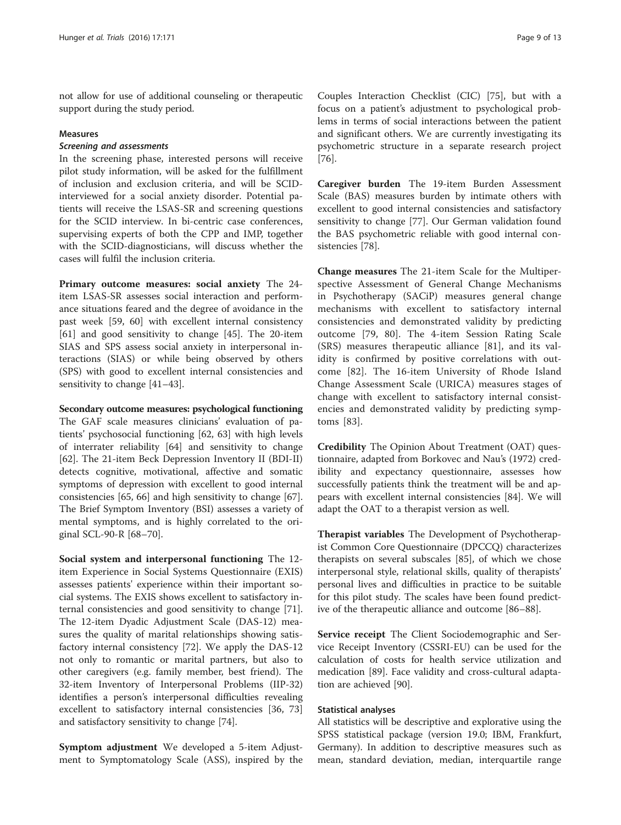not allow for use of additional counseling or therapeutic support during the study period.

#### Measures

## Screening and assessments

In the screening phase, interested persons will receive pilot study information, will be asked for the fulfillment of inclusion and exclusion criteria, and will be SCIDinterviewed for a social anxiety disorder. Potential patients will receive the LSAS-SR and screening questions for the SCID interview. In bi-centric case conferences, supervising experts of both the CPP and IMP, together with the SCID-diagnosticians, will discuss whether the cases will fulfil the inclusion criteria.

Primary outcome measures: social anxiety The 24 item LSAS-SR assesses social interaction and performance situations feared and the degree of avoidance in the past week [\[59](#page-12-0), [60](#page-12-0)] with excellent internal consistency [[61\]](#page-12-0) and good sensitivity to change [[45\]](#page-11-0). The 20-item SIAS and SPS assess social anxiety in interpersonal interactions (SIAS) or while being observed by others (SPS) with good to excellent internal consistencies and sensitivity to change [[41](#page-11-0)–[43](#page-11-0)].

Secondary outcome measures: psychological functioning The GAF scale measures clinicians' evaluation of patients' psychosocial functioning [\[62, 63](#page-12-0)] with high levels of interrater reliability [[64\]](#page-12-0) and sensitivity to change [[62\]](#page-12-0). The 21-item Beck Depression Inventory II (BDI-II) detects cognitive, motivational, affective and somatic symptoms of depression with excellent to good internal consistencies [\[65, 66\]](#page-12-0) and high sensitivity to change [\[67](#page-12-0)]. The Brief Symptom Inventory (BSI) assesses a variety of mental symptoms, and is highly correlated to the original SCL-90-R [[68](#page-12-0)–[70](#page-12-0)].

Social system and interpersonal functioning The 12 item Experience in Social Systems Questionnaire (EXIS) assesses patients' experience within their important social systems. The EXIS shows excellent to satisfactory internal consistencies and good sensitivity to change [\[71](#page-12-0)]. The 12-item Dyadic Adjustment Scale (DAS-12) measures the quality of marital relationships showing satisfactory internal consistency [[72\]](#page-12-0). We apply the DAS-12 not only to romantic or marital partners, but also to other caregivers (e.g. family member, best friend). The 32-item Inventory of Interpersonal Problems (IIP-32) identifies a person's interpersonal difficulties revealing excellent to satisfactory internal consistencies [\[36](#page-11-0), [73](#page-12-0)] and satisfactory sensitivity to change [\[74](#page-12-0)].

Symptom adjustment We developed a 5-item Adjustment to Symptomatology Scale (ASS), inspired by the

Couples Interaction Checklist (CIC) [\[75\]](#page-12-0), but with a focus on a patient's adjustment to psychological problems in terms of social interactions between the patient and significant others. We are currently investigating its psychometric structure in a separate research project [[76\]](#page-12-0).

Caregiver burden The 19-item Burden Assessment Scale (BAS) measures burden by intimate others with excellent to good internal consistencies and satisfactory sensitivity to change [[77](#page-12-0)]. Our German validation found the BAS psychometric reliable with good internal consistencies [\[78\]](#page-12-0).

Change measures The 21-item Scale for the Multiperspective Assessment of General Change Mechanisms in Psychotherapy (SACiP) measures general change mechanisms with excellent to satisfactory internal consistencies and demonstrated validity by predicting outcome [[79, 80](#page-12-0)]. The 4-item Session Rating Scale (SRS) measures therapeutic alliance [[81\]](#page-12-0), and its validity is confirmed by positive correlations with outcome [\[82](#page-12-0)]. The 16-item University of Rhode Island Change Assessment Scale (URICA) measures stages of change with excellent to satisfactory internal consistencies and demonstrated validity by predicting symptoms [[83](#page-12-0)].

Credibility The Opinion About Treatment (OAT) questionnaire, adapted from Borkovec and Nau's (1972) credibility and expectancy questionnaire, assesses how successfully patients think the treatment will be and appears with excellent internal consistencies [[84\]](#page-12-0). We will adapt the OAT to a therapist version as well.

Therapist variables The Development of Psychotherapist Common Core Questionnaire (DPCCQ) characterizes therapists on several subscales [[85\]](#page-12-0), of which we chose interpersonal style, relational skills, quality of therapists' personal lives and difficulties in practice to be suitable for this pilot study. The scales have been found predictive of the therapeutic alliance and outcome [\[86](#page-12-0)–[88\]](#page-12-0).

Service receipt The Client Sociodemographic and Service Receipt Inventory (CSSRI-EU) can be used for the calculation of costs for health service utilization and medication [[89\]](#page-12-0). Face validity and cross-cultural adaptation are achieved [[90\]](#page-12-0).

#### Statistical analyses

All statistics will be descriptive and explorative using the SPSS statistical package (version 19.0; IBM, Frankfurt, Germany). In addition to descriptive measures such as mean, standard deviation, median, interquartile range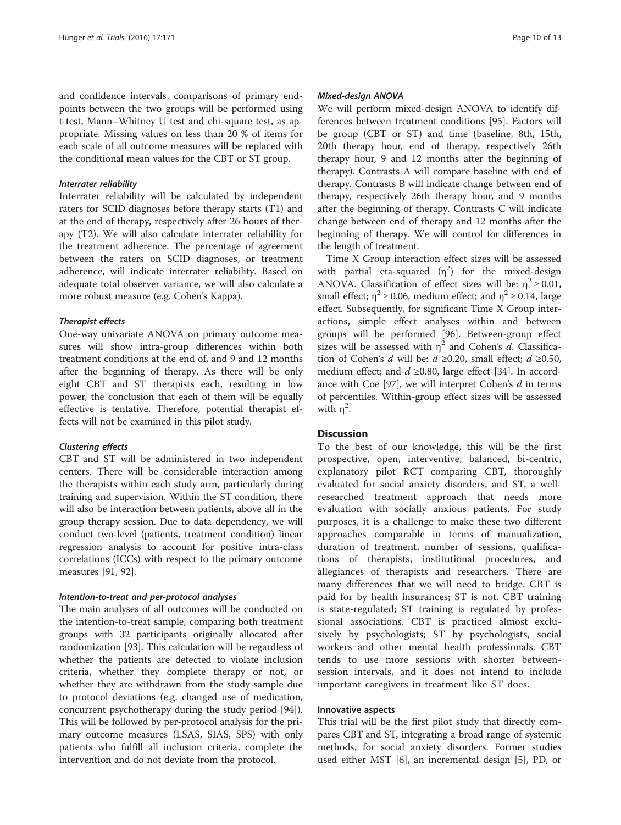and confidence intervals, comparisons of primary endpoints between the two groups will be performed using t-test, Mann–Whitney U test and chi-square test, as appropriate. Missing values on less than 20 % of items for each scale of all outcome measures will be replaced with the conditional mean values for the CBT or ST group.

#### Interrater reliability

Interrater reliability will be calculated by independent raters for SCID diagnoses before therapy starts (T1) and at the end of therapy, respectively after 26 hours of therapy (T2). We will also calculate interrater reliability for the treatment adherence. The percentage of agreement between the raters on SCID diagnoses, or treatment adherence, will indicate interrater reliability. Based on adequate total observer variance, we will also calculate a more robust measure (e.g. Cohen's Kappa).

#### Therapist effects

One-way univariate ANOVA on primary outcome measures will show intra-group differences within both treatment conditions at the end of, and 9 and 12 months after the beginning of therapy. As there will be only eight CBT and ST therapists each, resulting in low power, the conclusion that each of them will be equally effective is tentative. Therefore, potential therapist effects will not be examined in this pilot study.

#### Clustering effects

CBT and ST will be administered in two independent centers. There will be considerable interaction among the therapists within each study arm, particularly during training and supervision. Within the ST condition, there will also be interaction between patients, above all in the group therapy session. Due to data dependency, we will conduct two-level (patients, treatment condition) linear regression analysis to account for positive intra-class correlations (ICCs) with respect to the primary outcome measures [[91, 92\]](#page-12-0).

## Intention-to-treat and per-protocol analyses

The main analyses of all outcomes will be conducted on the intention-to-treat sample, comparing both treatment groups with 32 participants originally allocated after randomization [\[93](#page-12-0)]. This calculation will be regardless of whether the patients are detected to violate inclusion criteria, whether they complete therapy or not, or whether they are withdrawn from the study sample due to protocol deviations (e.g. changed use of medication, concurrent psychotherapy during the study period [\[94](#page-12-0)]). This will be followed by per-protocol analysis for the primary outcome measures (LSAS, SIAS, SPS) with only patients who fulfill all inclusion criteria, complete the intervention and do not deviate from the protocol.

#### Mixed-design ANOVA

We will perform mixed-design ANOVA to identify differences between treatment conditions [\[95](#page-12-0)]. Factors will be group (CBT or ST) and time (baseline, 8th, 15th, 20th therapy hour, end of therapy, respectively 26th therapy hour, 9 and 12 months after the beginning of therapy). Contrasts A will compare baseline with end of therapy. Contrasts B will indicate change between end of therapy, respectively 26th therapy hour, and 9 months after the beginning of therapy. Contrasts C will indicate change between end of therapy and 12 months after the beginning of therapy. We will control for differences in the length of treatment.

Time X Group interaction effect sizes will be assessed with partial eta-squared  $(\eta^2)$  for the mixed-design ANOVA. Classification of effect sizes will be:  $\eta^2 \ge 0.01$ , small effect;  $\eta^2 \ge 0.06$ , medium effect; and  $\eta^2 \ge 0.14$ , large effect. Subsequently, for significant Time X Group interactions, simple effect analyses within and between groups will be performed [[96\]](#page-12-0). Between-group effect sizes will be assessed with  $\eta^2$  and Cohen's d. Classification of Cohen's d will be:  $d \ge 0.20$ , small effect;  $d \ge 0.50$ , medium effect; and  $d \ge 0.80$ , large effect [\[34\]](#page-11-0). In accord-ance with Coe [\[97](#page-12-0)], we will interpret Cohen's  $d$  in terms of percentiles. Within-group effect sizes will be assessed with  $\eta^2$ .

## **Discussion**

To the best of our knowledge, this will be the first prospective, open, interventive, balanced, bi-centric, explanatory pilot RCT comparing CBT, thoroughly evaluated for social anxiety disorders, and ST, a wellresearched treatment approach that needs more evaluation with socially anxious patients. For study purposes, it is a challenge to make these two different approaches comparable in terms of manualization, duration of treatment, number of sessions, qualifications of therapists, institutional procedures, and allegiances of therapists and researchers. There are many differences that we will need to bridge. CBT is paid for by health insurances; ST is not. CBT training is state-regulated; ST training is regulated by professional associations. CBT is practiced almost exclusively by psychologists; ST by psychologists, social workers and other mental health professionals. CBT tends to use more sessions with shorter betweensession intervals, and it does not intend to include important caregivers in treatment like ST does.

#### Innovative aspects

This trial will be the first pilot study that directly compares CBT and ST, integrating a broad range of systemic methods, for social anxiety disorders. Former studies used either MST [[6\]](#page-11-0), an incremental design [[5\]](#page-10-0), PD, or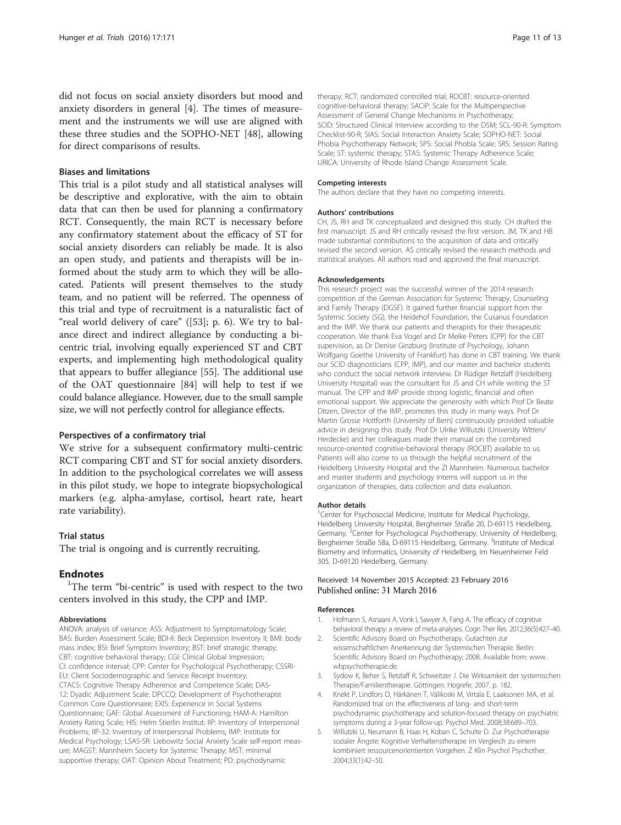<span id="page-10-0"></span>did not focus on social anxiety disorders but mood and anxiety disorders in general [4]. The times of measurement and the instruments we will use are aligned with these three studies and the SOPHO-NET [\[48](#page-11-0)], allowing for direct comparisons of results.

## Biases and limitations

This trial is a pilot study and all statistical analyses will be descriptive and explorative, with the aim to obtain data that can then be used for planning a confirmatory RCT. Consequently, the main RCT is necessary before any confirmatory statement about the efficacy of ST for social anxiety disorders can reliably be made. It is also an open study, and patients and therapists will be informed about the study arm to which they will be allocated. Patients will present themselves to the study team, and no patient will be referred. The openness of this trial and type of recruitment is a naturalistic fact of "real world delivery of care" ([[53\]](#page-11-0); p. 6). We try to balance direct and indirect allegiance by conducting a bicentric trial, involving equally experienced ST and CBT experts, and implementing high methodological quality that appears to buffer allegiance [\[55](#page-11-0)]. The additional use of the OAT questionnaire [\[84](#page-12-0)] will help to test if we could balance allegiance. However, due to the small sample size, we will not perfectly control for allegiance effects.

#### Perspectives of a confirmatory trial

We strive for a subsequent confirmatory multi-centric RCT comparing CBT and ST for social anxiety disorders. In addition to the psychological correlates we will assess in this pilot study, we hope to integrate biopsychological markers (e.g. alpha-amylase, cortisol, heart rate, heart rate variability).

## Trial status

The trial is ongoing and is currently recruiting.

## **Endnotes**

<sup>1</sup>The term "bi-centric" is used with respect to the two centers involved in this study, the CPP and IMP.

#### Abbreviations

ANOVA: analysis of variance; ASS: Adjustment to Symptomatology Scale; BAS: Burden Assessment Scale; BDI-II: Beck Depression Inventory II; BMI: body mass index; BSI: Brief Symptom Inventory; BST: brief strategic therapy; CBT: cognitive behavioral therapy; CGI: Clinical Global Impression; CI: confidence interval; CPP: Center for Psychological Psychotherapy; CSSRI-EU: Client Sociodemographic and Service Receipt Inventory; CTACS: Cognitive Therapy Adherence and Competence Scale; DAS-12: Dyadic Adjustment Scale; DPCCQ: Development of Psychotherapist Common Core Questionnaire; EXIS: Experience in Social Systems Questionnaire; GAF: Global Assessment of Functioning; HAM-A: Hamilton Anxiety Rating Scale; HIS: Helm Stierlin Institut; IIP: Inventory of Interpersonal Problems; IIP-32: Inventory of Interpersonal Problems; IMP: Institute for Medical Psychology; LSAS-SR: Liebowitz Social Anxiety Scale self-report measure; MAGST: Mannheim Society for Systemic Therapy; MST: minimal supportive therapy; OAT: Opinion About Treatment; PD: psychodynamic

therapy; RCT: randomized controlled trial; ROCBT: resource-oriented cognitive-behavioral therapy; SACiP: Scale for the Multiperspective Assessment of General Change Mechanisms in Psychotherapy; SCID: Structured Clinical Interview according to the DSM; SCL-90-R: Symptom Checklist-90-R; SIAS: Social Interaction Anxiety Scale; SOPHO-NET: Social Phobia Psychotherapy Network; SPS: Social Phobia Scale; SRS: Session Rating Scale; ST: systemic therapy; STAS: Systemic Therapy Adherence Scale; URICA: University of Rhode Island Change Assessment Scale.

#### Competing interests

The authors declare that they have no competing interests.

#### Authors' contributions

CH, JS, RH and TK conceptualized and designed this study. CH drafted the first manuscript. JS and RH critically revised the first version. JM, TK and HB made substantial contributions to the acquisition of data and critically revised the second version. AS critically revised the research methods and statistical analyses. All authors read and approved the final manuscript.

#### Acknowledgements

This research project was the successful winner of the 2014 research competition of the German Association for Systemic Therapy, Counseling and Family Therapy (DGSF). It gained further financial support from the Systemic Society (SG), the Heidehof Foundation, the Cusanus Foundation and the IMP. We thank our patients and therapists for their therapeutic cooperation. We thank Eva Vogel and Dr Meike Peters (CPP) for the CBT supervision, as Dr Denise Ginzburg (Institute of Psychology, Johann Wolfgang Goethe University of Frankfurt) has done in CBT training. We thank our SCID diagnosticians (CPP, IMP), and our master and bachelor students who conduct the social network interview. Dr Rüdiger Retzlaff (Heidelberg University Hospital) was the consultant for JS and CH while writing the ST manual. The CPP and IMP provide strong logistic, financial and often emotional support. We appreciate the generosity with which Prof Dr Beate Ditzen, Director of the IMP, promotes this study in many ways. Prof Dr Martin Grosse Holtforth (University of Bern) continuously provided valuable advice in designing this study. Prof Dr Ulrike Willutzki (University Witten/ Herdecke) and her colleagues made their manual on the combined resource-oriented cognitive-behavioral therapy (ROCBT) available to us. Patients will also come to us through the helpful recruitment of the Heidelberg University Hospital and the ZI Mannheim. Numerous bachelor and master students and psychology interns will support us in the organization of therapies, data collection and data evaluation.

#### Author details

<sup>1</sup> Center for Psychosocial Medicine, Institute for Medical Psychology, Heidelberg University Hospital, Bergheimer Straße 20, D-69115 Heidelberg, Germany.<sup>2</sup> Center for Psychological Psychotherapy, University of Heidelberg Bergheimer Straße 58a, D-69115 Heidelberg, Germany. <sup>3</sup>Institute of Medical Biometry and Informatics, University of Heidelberg, Im Neuenheimer Feld 305, D-69120 Heidelberg, Germany.

#### Received: 14 November 2015 Accepted: 23 February 2016 Published online: 31 March 2016

#### References

- 1. Hofmann S, Asnaani A, Vonk I, Sawyer A, Fang A. The efficacy of cognitive behavioral therapy: a review of meta-analyses. Cogn Ther Res. 2012;36(5):427–40.
- 2. Scientific Advisory Board on Psychotherapy. Gutachten zur wissenschaftlichen Anerkennung der Systemischen Therapie. Berlin: Scientific Advisory Board on Psychotherapy; 2008. Available from: [www.](http://www.wbpsychotherapie.de) [wbpsychotherapie.de.](http://www.wbpsychotherapie.de)
- Sydow K, Beher S, Retzlaff R, Schweitzer J. Die Wirksamkeit der systemischen Therapie/Familientherapie. Göttingen: Hogrefe; 2007. p. 182.
- 4. Knekt P, Lindfors O, Härkänen T, Välikoski M, Virtala E, Laaksonen MA, et al. Randomized trial on the effectiveness of long- and short-term psychodynamic psychotherapy and solution-focused therapy on psychiatric symptoms during a 3-year follow-up. Psychol Med. 2008;38:689–703.
- 5. Willutzki U, Neumann B, Haas H, Koban C, Schulte D. Zur Psychotherapie sozialer Ängste: Kognitive Verhaltenstherapie im Vergleich zu einem kombiniert ressourcenorientierten Vorgehen. Z Klin Psychol Psychother. 2004;33(1):42–50.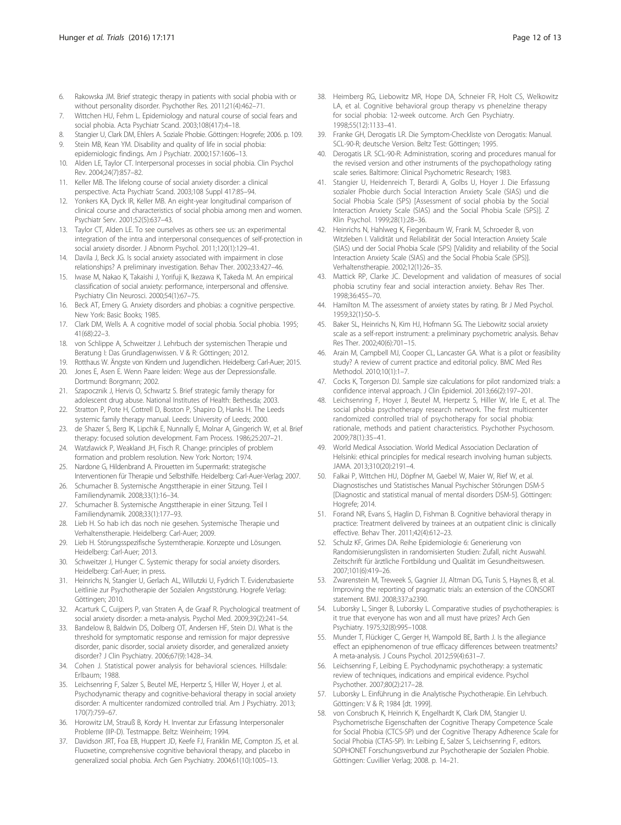- <span id="page-11-0"></span>6. Rakowska JM. Brief strategic therapy in patients with social phobia with or without personality disorder. Psychother Res. 2011;21(4):462–71.
- 7. Wittchen HU, Fehm L. Epidemiology and natural course of social fears and social phobia. Acta Psychiatr Scand. 2003;108(417):4–18.
- 8. Stangier U, Clark DM, Ehlers A. Soziale Phobie. Göttingen: Hogrefe; 2006. p. 109. 9. Stein MB, Kean YM. Disability and quality of life in social phobia:
- epidemiologic findings. Am J Psychiatr. 2000;157:1606–13. 10. Alden LE, Taylor CT. Interpersonal processes in social phobia. Clin Psychol
- Rev. 2004;24(7):857–82.
- 11. Keller MB. The lifelong course of social anxiety disorder: a clinical perspective. Acta Psychiatr Scand. 2003;108 Suppl 417:85–94.
- 12. Yonkers KA, Dyck IR, Keller MB. An eight-year longitudinal comparison of clinical course and characteristics of social phobia among men and women. Psychiatr Serv. 2001;52(5):637–43.
- 13. Taylor CT, Alden LE. To see ourselves as others see us: an experimental integration of the intra and interpersonal consequences of self-protection in social anxiety disorder. J Abnorm Psychol. 2011;120(1):129–41.
- 14. Davila J, Beck JG. Is social anxiety associated with impairment in close relationships? A preliminary investigation. Behav Ther. 2002;33:427–46.
- 15. Iwase M, Nakao K, Takaishi J, Yorifuji K, Ikezawa K, Takeda M. An empirical classification of social anxiety: performance, interpersonal and offensive. Psychiatry Clin Neurosci. 2000;54(1):67–75.
- 16. Beck AT, Emery G. Anxiety disorders and phobias: a cognitive perspective. New York: Basic Books; 1985.
- 17. Clark DM, Wells A. A cognitive model of social phobia. Social phobia. 1995; 41(68):22–3.
- 18. von Schlippe A, Schweitzer J. Lehrbuch der systemischen Therapie und Beratung I: Das Grundlagenwissen. V & R: Göttingen; 2012.
- 19. Rotthaus W. Ängste von Kindern und Jugendlichen. Heidelberg: Carl-Auer; 2015.
- 20. Jones E, Asen E. Wenn Paare leiden: Wege aus der Depressionsfalle. Dortmund: Borgmann; 2002.
- 21. Szapocznik J, Hervis O, Schwartz S. Brief strategic family therapy for adolescent drug abuse. National Institutes of Health: Bethesda; 2003.
- 22. Stratton P, Pote H, Cottrell D, Boston P, Shapiro D, Hanks H. The Leeds systemic family therapy manual. Leeds: University of Leeds; 2000.
- 23. de Shazer S, Berg IK, Lipchik E, Nunnally E, Molnar A, Gingerich W, et al. Brief therapy: focused solution development. Fam Process. 1986;25:207–21.
- 24. Watzlawick P, Weakland JH, Fisch R. Change: principles of problem formation and problem resolution. New York: Norton; 1974.
- 25. Nardone G, Hildenbrand A. Pirouetten im Supermarkt: strategische Interventionen für Therapie und Selbsthilfe. Heidelberg: Carl-Auer-Verlag; 2007.
- 26. Schumacher B. Systemische Angsttherapie in einer Sitzung. Teil I Familiendynamik. 2008;33(1):16–34.
- 27. Schumacher B. Systemische Angsttherapie in einer Sitzung. Teil I Familiendynamik. 2008;33(1):177–93.
- 28. Lieb H. So hab ich das noch nie gesehen. Systemische Therapie und Verhaltenstherapie. Heidelberg: Carl-Auer; 2009.
- 29. Lieb H. Störungsspezifische Systemtherapie. Konzepte und Lösungen. Heidelberg: Carl-Auer; 2013.
- 30. Schweitzer J, Hunger C. Systemic therapy for social anxiety disorders. Heidelberg: Carl-Auer; in press.
- 31. Heinrichs N, Stangier U, Gerlach AL, Willutzki U, Fydrich T. Evidenzbasierte Leitlinie zur Psychotherapie der Sozialen Angststörung. Hogrefe Verlag: Göttingen; 2010.
- 32. Acarturk C, Cuijpers P, van Straten A, de Graaf R. Psychological treatment of social anxiety disorder: a meta-analysis. Psychol Med. 2009;39(2):241–54.
- 33. Bandelow B, Baldwin DS, Dolberg OT, Andersen HF, Stein DJ. What is the threshold for symptomatic response and remission for major depressive disorder, panic disorder, social anxiety disorder, and generalized anxiety disorder? J Clin Psychiatry. 2006;67(9):1428–34.
- 34. Cohen J. Statistical power analysis for behavioral sciences. Hillsdale: Erlbaum; 1988.
- 35. Leichsenring F, Salzer S, Beutel ME, Herpertz S, Hiller W, Hoyer J, et al. Psychodynamic therapy and cognitive-behavioral therapy in social anxiety disorder: A multicenter randomized controlled trial. Am J Psychiatry. 2013; 170(7):759–67.
- 36. Horowitz LM, Strauß B, Kordy H. Inventar zur Erfassung Interpersonaler Probleme (IIP-D). Testmappe. Beltz: Weinheim; 1994.
- 37. Davidson JRT, Foa EB, Huppert JD, Keefe FJ, Franklin ME, Compton JS, et al. Fluoxetine, comprehensive cognitive behavioral therapy, and placebo in generalized social phobia. Arch Gen Psychiatry. 2004;61(10):1005–13.
- 38. Heimberg RG, Liebowitz MR, Hope DA, Schneier FR, Holt CS, Welkowitz LA, et al. Cognitive behavioral group therapy vs phenelzine therapy for social phobia: 12-week outcome. Arch Gen Psychiatry. 1998;55(12):1133–41.
- 39. Franke GH, Derogatis LR. Die Symptom-Checkliste von Derogatis: Manual. SCL-90-R; deutsche Version. Beltz Test: Göttingen; 1995.
- 40. Derogatis LR. SCL-90-R: Administration, scoring and procedures manual for the revised version and other instruments of the psychopathology rating scale series. Baltimore: Clinical Psychometric Research; 1983.
- 41. Stangier U, Heidenreich T, Berardi A, Golbs U, Hoyer J. Die Erfassung sozialer Phobie durch Social Interaction Anxiety Scale (SIAS) und die Social Phobia Scale (SPS) [Assessment of social phobia by the Social Interaction Anxiety Scale (SIAS) and the Social Phobia Scale (SPS)]. Z Klin Psychol. 1999;28(1):28–36.
- 42. Heinrichs N, Hahlweg K, Fiegenbaum W, Frank M, Schroeder B, von Witzleben I. Validität und Reliabilität der Social Interaction Anxiety Scale (SIAS) und der Social Phobia Scale (SPS) [Validity and reliability of the Social Interaction Anxiety Scale (SIAS) and the Social Phobia Scale (SPS)]. Verhaltenstherapie. 2002;12(1):26–35.
- 43. Mattick RP, Clarke JC. Development and validation of measures of social phobia scrutiny fear and social interaction anxiety. Behav Res Ther. 1998;36:455–70.
- 44. Hamilton M. The assessment of anxiety states by rating. Br J Med Psychol. 1959;32(1):50–5.
- 45. Baker SL, Heinrichs N, Kim HJ, Hofmann SG. The Liebowitz social anxiety scale as a self-report instrument: a preliminary psychometric analysis. Behav Res Ther. 2002;40(6):701–15.
- 46. Arain M, Campbell MJ, Cooper CL, Lancaster GA. What is a pilot or feasibility study? A review of current practice and editorial policy. BMC Med Res Methodol. 2010;10(1):1–7.
- 47. Cocks K, Torgerson DJ. Sample size calculations for pilot randomized trials: a confidence interval approach. J Clin Epidemiol. 2013;66(2):197–201.
- 48. Leichsenring F, Hoyer J, Beutel M, Herpertz S, Hiller W, Irle E, et al. The social phobia psychotherapy research network. The first multicenter randomized controlled trial of psychotherapy for social phobia: rationale, methods and patient characteristics. Psychother Psychosom. 2009;78(1):35–41.
- 49. World Medical Association. World Medical Association Declaration of Helsinki: ethical principles for medical research involving human subjects. JAMA. 2013;310(20):2191–4.
- 50. Falkai P, Wittchen HU, Döpfner M, Gaebel W, Maier W, Rief W, et al. Diagnostisches und Statistisches Manual Psychischer Störungen DSM-5 [Diagnostic and statistical manual of mental disorders DSM-5]. Göttingen: Hogrefe; 2014.
- 51. Forand NR, Evans S, Haglin D, Fishman B. Cognitive behavioral therapy in practice: Treatment delivered by trainees at an outpatient clinic is clinically effective. Behav Ther. 2011;42(4):612–23.
- 52. Schulz KF, Grimes DA. Reihe Epidemiologie 6: Generierung von Randomisierungslisten in randomisierten Studien: Zufall, nicht Auswahl. Zeitschrift für ärztliche Fortbildung und Qualität im Gesundheitswesen. 2007;101(6):419–26.
- 53. Zwarenstein M, Treweek S, Gagnier JJ, Altman DG, Tunis S, Haynes B, et al. Improving the reporting of pragmatic trials: an extension of the CONSORT statement. BMJ. 2008;337:a2390.
- 54. Luborsky L, Singer B, Luborsky L. Comparative studies of psychotherapies: is it true that everyone has won and all must have prizes? Arch Gen Psychiatry. 1975;32(8):995–1008.
- 55. Munder T, Flückiger C, Gerger H, Wampold BE, Barth J. Is the allegiance effect an epiphenomenon of true efficacy differences between treatments? A meta-analysis. J Couns Psychol. 2012;59(4):631–7.
- 56. Leichsenring F, Leibing E. Psychodynamic psychotherapy: a systematic review of techniques, indications and empirical evidence. Psychol Psychother. 2007;80(2):217–28.
- 57. Luborsky L. Einführung in die Analytische Psychotherapie. Ein Lehrbuch. Göttingen: V & R; 1984 [dt. 1999].
- 58. von Consbruch K, Heinrich K, Engelhardt K, Clark DM, Stangier U. Psychometrische Eigenschaften der Cognitive Therapy Competence Scale for Social Phobia (CTCS-SP) und der Cognitive Therapy Adherence Scale for Social Phobia (CTAS-SP). In: Leibing E, Salzer S, Leichsenring F, editors. SOPHONET Forschungsverbund zur Psychotherapie der Sozialen Phobie. Göttingen: Cuvillier Verlag; 2008. p. 14–21.